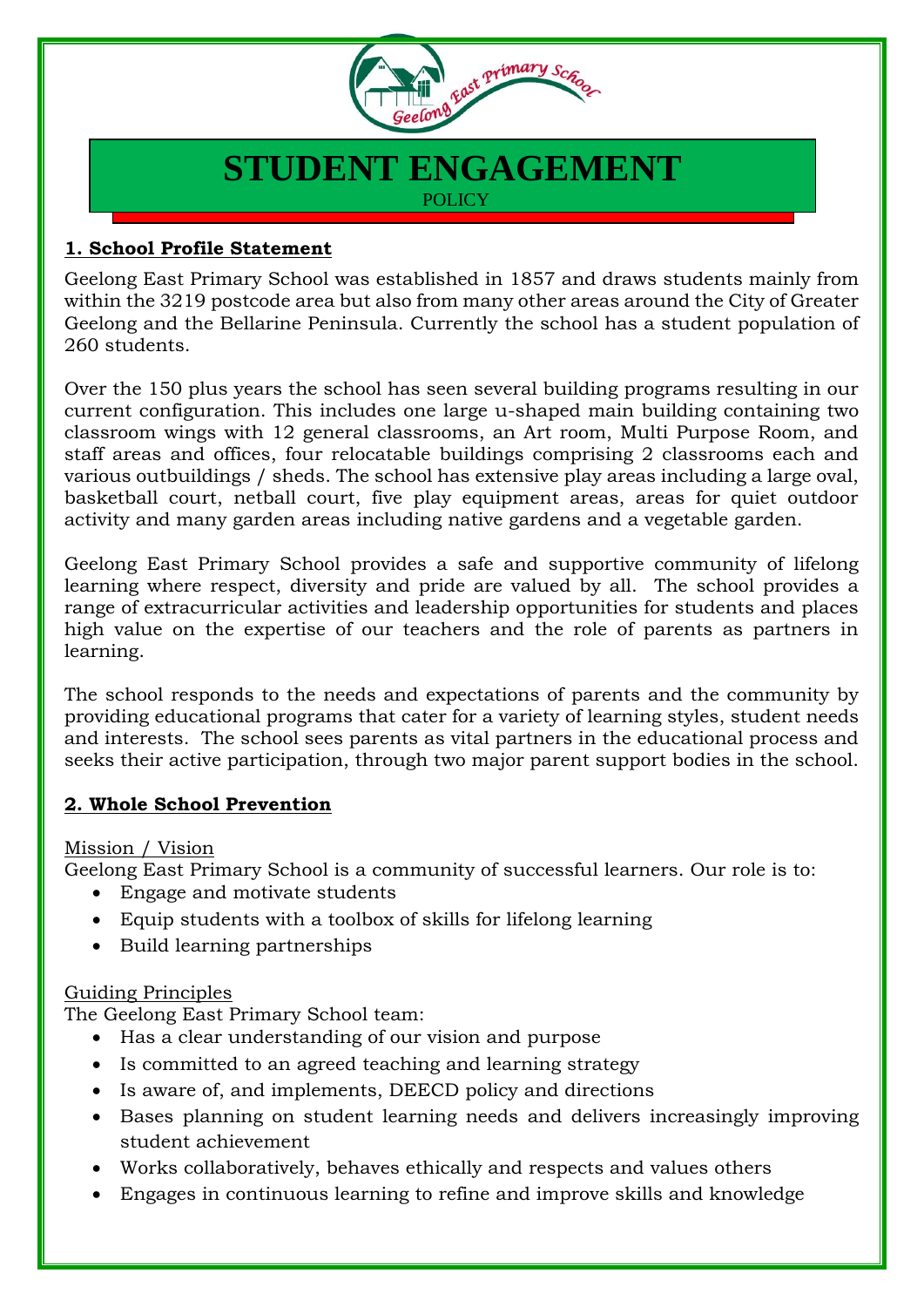

# **STUDENT ENGAGEMENT POLICY**

## **1. School Profile Statement**

Geelong East Primary School was established in 1857 and draws students mainly from within the 3219 postcode area but also from many other areas around the City of Greater Geelong and the Bellarine Peninsula. Currently the school has a student population of 260 students.

Over the 150 plus years the school has seen several building programs resulting in our current configuration. This includes one large u-shaped main building containing two classroom wings with 12 general classrooms, an Art room, Multi Purpose Room, and staff areas and offices, four relocatable buildings comprising 2 classrooms each and various outbuildings / sheds. The school has extensive play areas including a large oval, basketball court, netball court, five play equipment areas, areas for quiet outdoor activity and many garden areas including native gardens and a vegetable garden.

Geelong East Primary School provides a safe and supportive community of lifelong learning where respect, diversity and pride are valued by all. The school provides a range of extracurricular activities and leadership opportunities for students and places high value on the expertise of our teachers and the role of parents as partners in learning.

The school responds to the needs and expectations of parents and the community by providing educational programs that cater for a variety of learning styles, student needs and interests. The school sees parents as vital partners in the educational process and seeks their active participation, through two major parent support bodies in the school.

### **2. Whole School Prevention**

### Mission / Vision

Geelong East Primary School is a community of successful learners. Our role is to:

- Engage and motivate students
- Equip students with a toolbox of skills for lifelong learning
- Build learning partnerships

### Guiding Principles

The Geelong East Primary School team:

- Has a clear understanding of our vision and purpose
- Is committed to an agreed teaching and learning strategy
- Is aware of, and implements, DEECD policy and directions
- Bases planning on student learning needs and delivers increasingly improving student achievement
- Works collaboratively, behaves ethically and respects and values others
- Engages in continuous learning to refine and improve skills and knowledge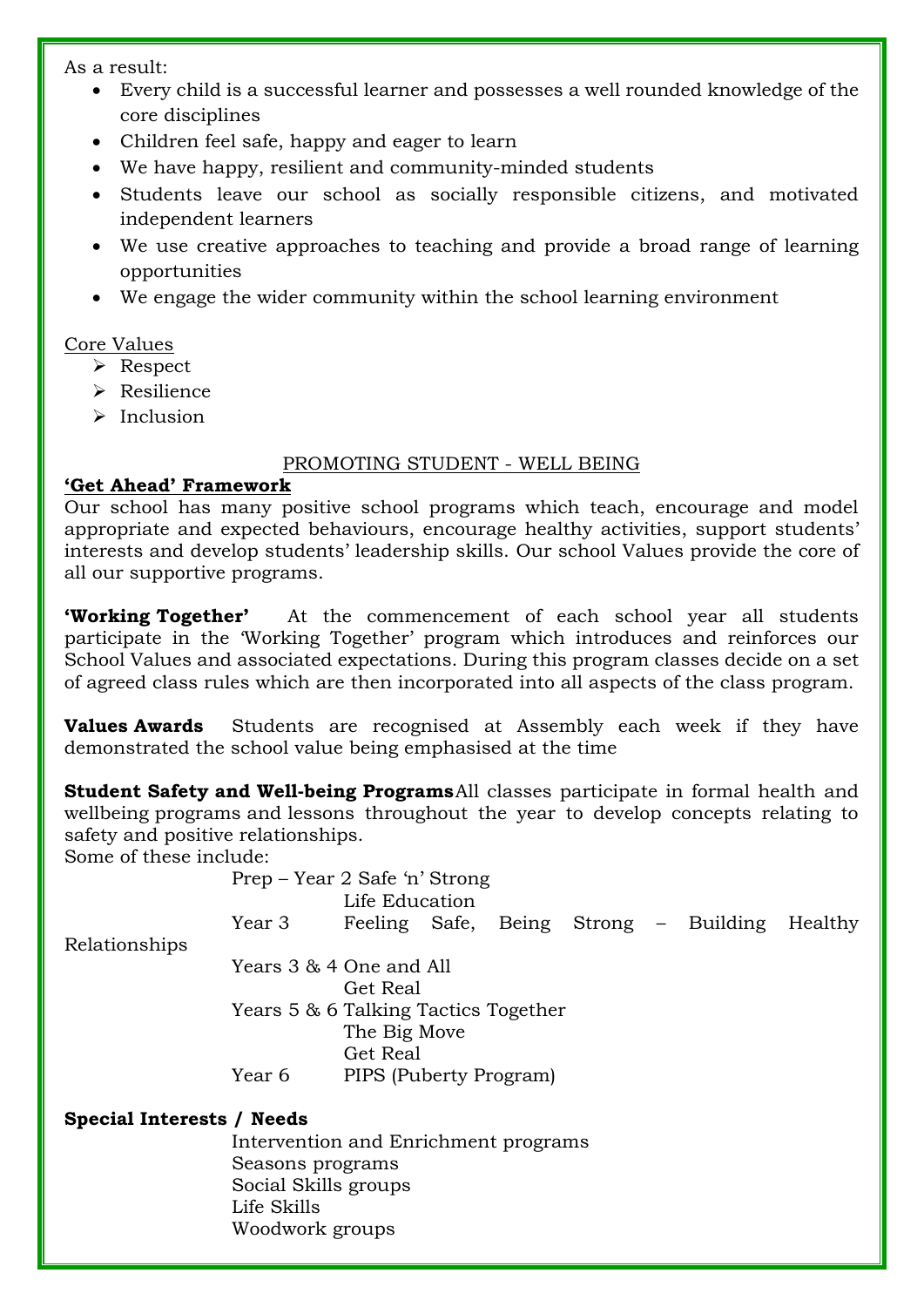As a result:

- Every child is a successful learner and possesses a well rounded knowledge of the core disciplines
- Children feel safe, happy and eager to learn
- We have happy, resilient and community-minded students
- Students leave our school as socially responsible citizens, and motivated independent learners
- We use creative approaches to teaching and provide a broad range of learning opportunities
- We engage the wider community within the school learning environment

### Core Values

- Respect
- > Resilience
- $\triangleright$  Inclusion

#### PROMOTING STUDENT - WELL BEING

#### **'Get Ahead' Framework**

Our school has many positive school programs which teach, encourage and model appropriate and expected behaviours, encourage healthy activities, support students' interests and develop students' leadership skills. Our school Values provide the core of all our supportive programs.

**'Working Together'** At the commencement of each school year all students participate in the 'Working Together' program which introduces and reinforces our School Values and associated expectations. During this program classes decide on a set of agreed class rules which are then incorporated into all aspects of the class program.

**Values Awards** Students are recognised at Assembly each week if they have demonstrated the school value being emphasised at the time

**Student Safety and Well-being Programs**All classes participate in formal health and wellbeing programs and lessons throughout the year to develop concepts relating to safety and positive relationships.

Some of these include:

|                           | Prep – Year 2 Safe 'n' Strong        |                        |  |  |  |  |                                       |         |  |  |
|---------------------------|--------------------------------------|------------------------|--|--|--|--|---------------------------------------|---------|--|--|
|                           |                                      |                        |  |  |  |  |                                       |         |  |  |
|                           | Year 3                               |                        |  |  |  |  | Feeling Safe, Being Strong – Building | Healthy |  |  |
| Relationships             |                                      |                        |  |  |  |  |                                       |         |  |  |
|                           | Years 3 & 4 One and All              |                        |  |  |  |  |                                       |         |  |  |
|                           |                                      | Get Real               |  |  |  |  |                                       |         |  |  |
|                           | Years 5 & 6 Talking Tactics Together |                        |  |  |  |  |                                       |         |  |  |
|                           |                                      | The Big Move           |  |  |  |  |                                       |         |  |  |
|                           |                                      | Get Real               |  |  |  |  |                                       |         |  |  |
|                           | Year 6                               | PIPS (Puberty Program) |  |  |  |  |                                       |         |  |  |
| Special Interests / Needs |                                      |                        |  |  |  |  |                                       |         |  |  |
|                           | Intervention and Enrichment programs |                        |  |  |  |  |                                       |         |  |  |
|                           | Seasons programs                     |                        |  |  |  |  |                                       |         |  |  |
|                           |                                      |                        |  |  |  |  |                                       |         |  |  |

Social Skills groups Life Skills Woodwork groups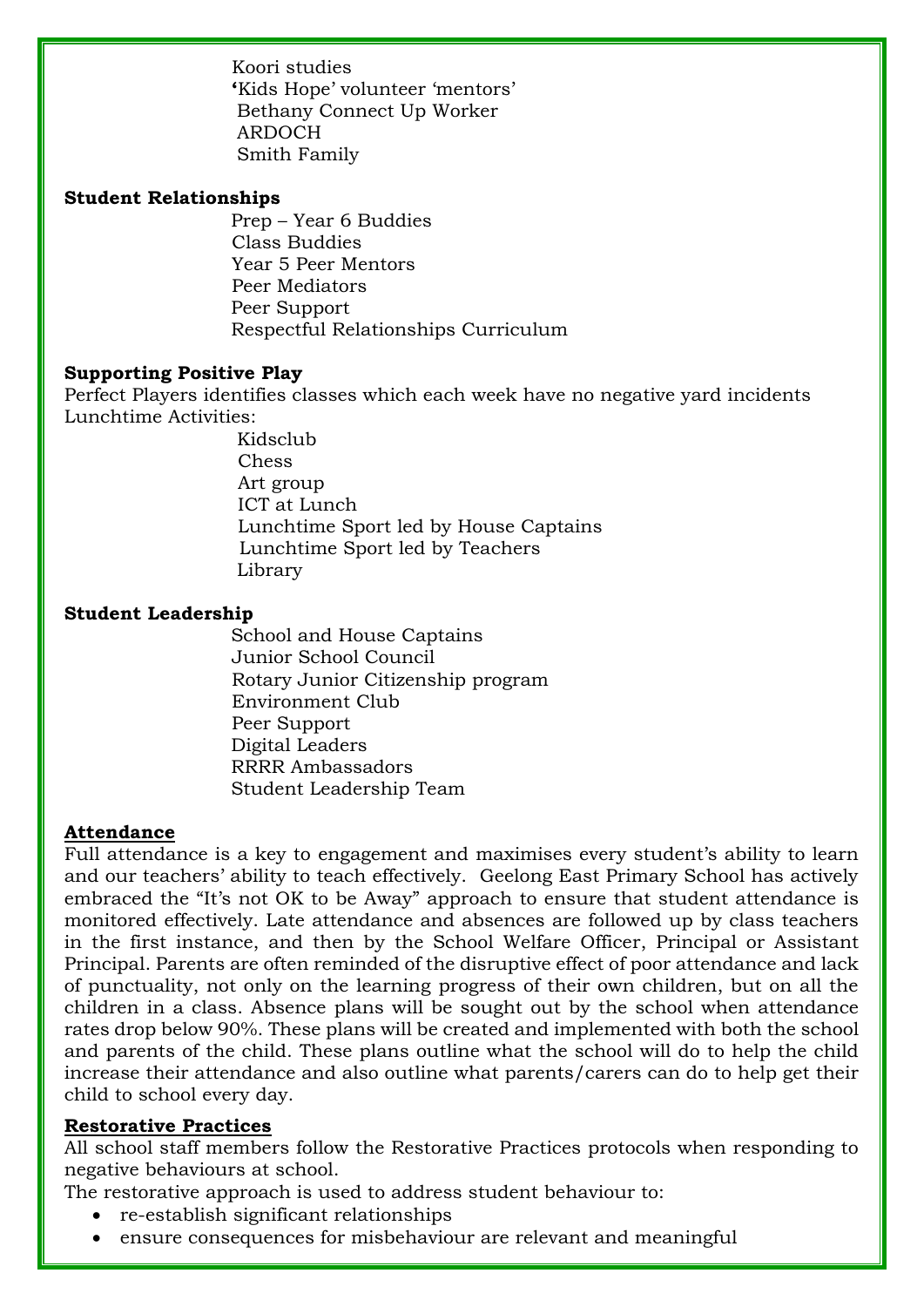Koori studies **'**Kids Hope' volunteer 'mentors' Bethany Connect Up Worker ARDOCH Smith Family

#### **Student Relationships**

 Prep – Year 6 Buddies Class Buddies Year 5 Peer Mentors Peer Mediators Peer Support Respectful Relationships Curriculum

#### **Supporting Positive Play**

Perfect Players identifies classes which each week have no negative yard incidents Lunchtime Activities:

> Kidsclub Chess Art group ICT at Lunch Lunchtime Sport led by House Captains Lunchtime Sport led by Teachers Library

#### **Student Leadership**

 School and House Captains Junior School Council Rotary Junior Citizenship program Environment Club Peer Support Digital Leaders RRRR Ambassadors Student Leadership Team

#### **Attendance**

Full attendance is a key to engagement and maximises every student's ability to learn and our teachers' ability to teach effectively. Geelong East Primary School has actively embraced the "It's not OK to be Away" approach to ensure that student attendance is monitored effectively. Late attendance and absences are followed up by class teachers in the first instance, and then by the School Welfare Officer, Principal or Assistant Principal. Parents are often reminded of the disruptive effect of poor attendance and lack of punctuality, not only on the learning progress of their own children, but on all the children in a class. Absence plans will be sought out by the school when attendance rates drop below 90%. These plans will be created and implemented with both the school and parents of the child. These plans outline what the school will do to help the child increase their attendance and also outline what parents/carers can do to help get their child to school every day.

#### **Restorative Practices**

All school staff members follow the Restorative Practices protocols when responding to negative behaviours at school.

The restorative approach is used to address student behaviour to:

- re-establish significant relationships
- ensure consequences for misbehaviour are relevant and meaningful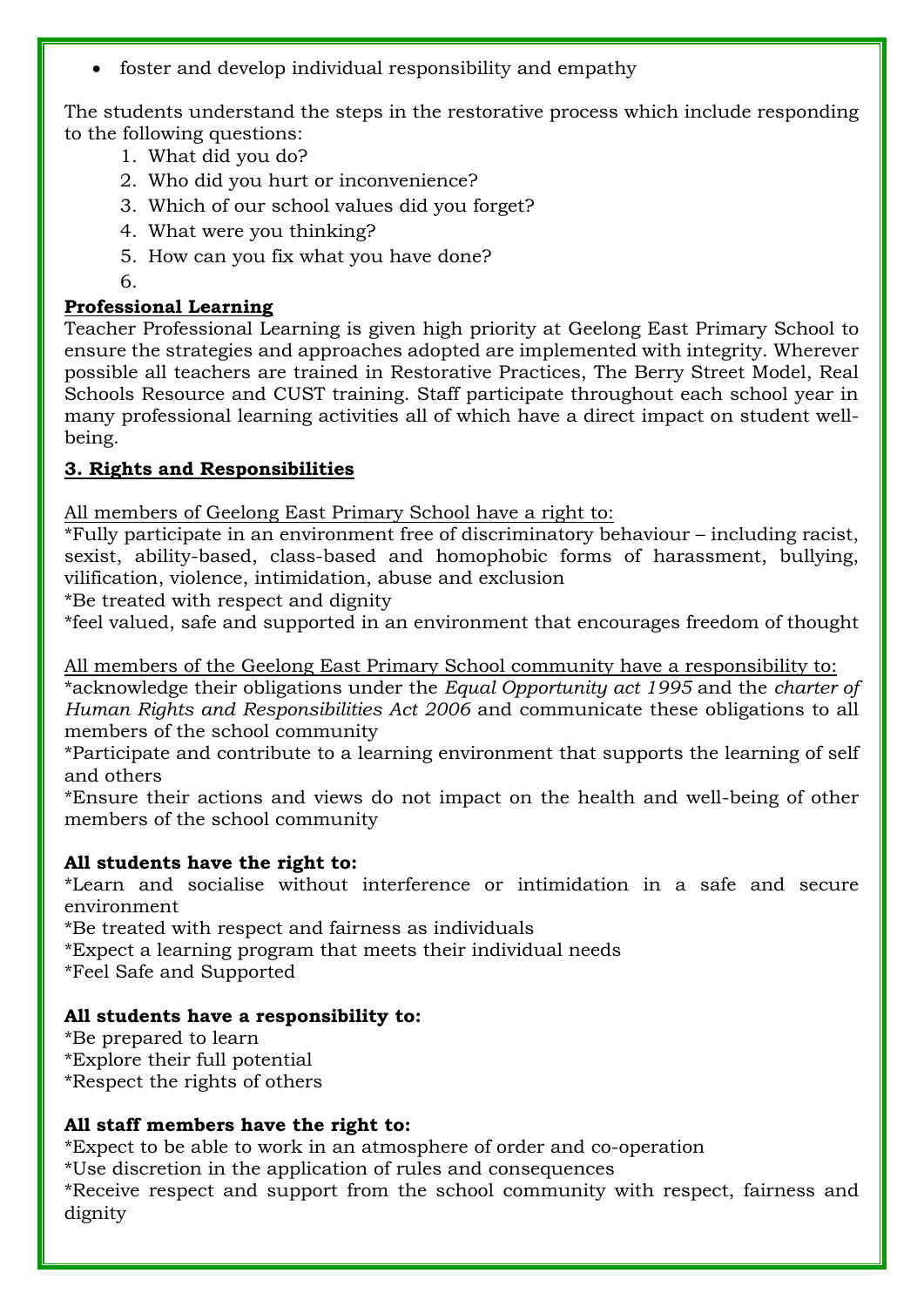foster and develop individual responsibility and empathy

The students understand the steps in the restorative process which include responding to the following questions:

- 1. What did you do?
- 2. Who did you hurt or inconvenience?
- 3. Which of our school values did you forget?
- 4. What were you thinking?
- 5. How can you fix what you have done?
- 6.

### **Professional Learning**

Teacher Professional Learning is given high priority at Geelong East Primary School to ensure the strategies and approaches adopted are implemented with integrity. Wherever possible all teachers are trained in Restorative Practices, The Berry Street Model, Real Schools Resource and CUST training. Staff participate throughout each school year in many professional learning activities all of which have a direct impact on student wellbeing.

### **3. Rights and Responsibilities**

All members of Geelong East Primary School have a right to:

\*Fully participate in an environment free of discriminatory behaviour – including racist, sexist, ability-based, class-based and homophobic forms of harassment, bullying, vilification, violence, intimidation, abuse and exclusion

\*Be treated with respect and dignity

\*feel valued, safe and supported in an environment that encourages freedom of thought

All members of the Geelong East Primary School community have a responsibility to: \*acknowledge their obligations under the *Equal Opportunity act 1995* and the *charter of Human Rights and Responsibilities Act 2006* and communicate these obligations to all members of the school community

\*Participate and contribute to a learning environment that supports the learning of self and others

\*Ensure their actions and views do not impact on the health and well-being of other members of the school community

### **All students have the right to:**

\*Learn and socialise without interference or intimidation in a safe and secure environment

\*Be treated with respect and fairness as individuals

\*Expect a learning program that meets their individual needs

\*Feel Safe and Supported

### **All students have a responsibility to:**

\*Be prepared to learn \*Explore their full potential \*Respect the rights of others

### **All staff members have the right to:**

\*Expect to be able to work in an atmosphere of order and co-operation

\*Use discretion in the application of rules and consequences

\*Receive respect and support from the school community with respect, fairness and dignity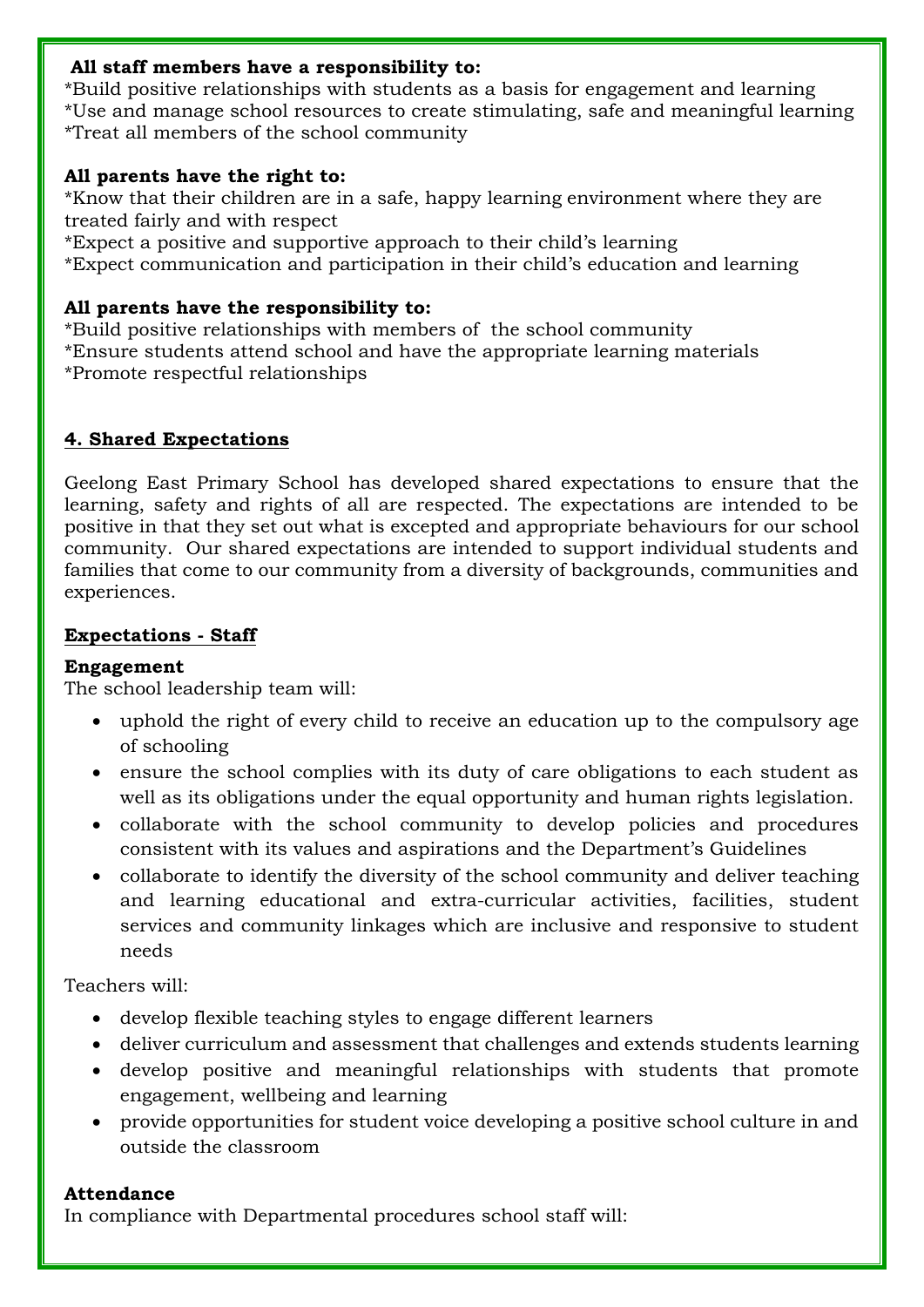#### **All staff members have a responsibility to:**

\*Build positive relationships with students as a basis for engagement and learning \*Use and manage school resources to create stimulating, safe and meaningful learning \*Treat all members of the school community

### **All parents have the right to:**

\*Know that their children are in a safe, happy learning environment where they are treated fairly and with respect

\*Expect a positive and supportive approach to their child's learning

\*Expect communication and participation in their child's education and learning

### **All parents have the responsibility to:**

\*Build positive relationships with members of the school community \*Ensure students attend school and have the appropriate learning materials \*Promote respectful relationships

### **4. Shared Expectations**

Geelong East Primary School has developed shared expectations to ensure that the learning, safety and rights of all are respected. The expectations are intended to be positive in that they set out what is excepted and appropriate behaviours for our school community. Our shared expectations are intended to support individual students and families that come to our community from a diversity of backgrounds, communities and experiences.

### **Expectations - Staff**

### **Engagement**

The school leadership team will:

- uphold the right of every child to receive an education up to the compulsory age of schooling
- ensure the school complies with its duty of care obligations to each student as well as its obligations under the equal opportunity and human rights legislation.
- collaborate with the school community to develop policies and procedures consistent with its values and aspirations and the Department's Guidelines
- collaborate to identify the diversity of the school community and deliver teaching and learning educational and extra-curricular activities, facilities, student services and community linkages which are inclusive and responsive to student needs

Teachers will:

- develop flexible teaching styles to engage different learners
- deliver curriculum and assessment that challenges and extends students learning
- develop positive and meaningful relationships with students that promote engagement, wellbeing and learning
- provide opportunities for student voice developing a positive school culture in and outside the classroom

### **Attendance**

In compliance with Departmental procedures school staff will: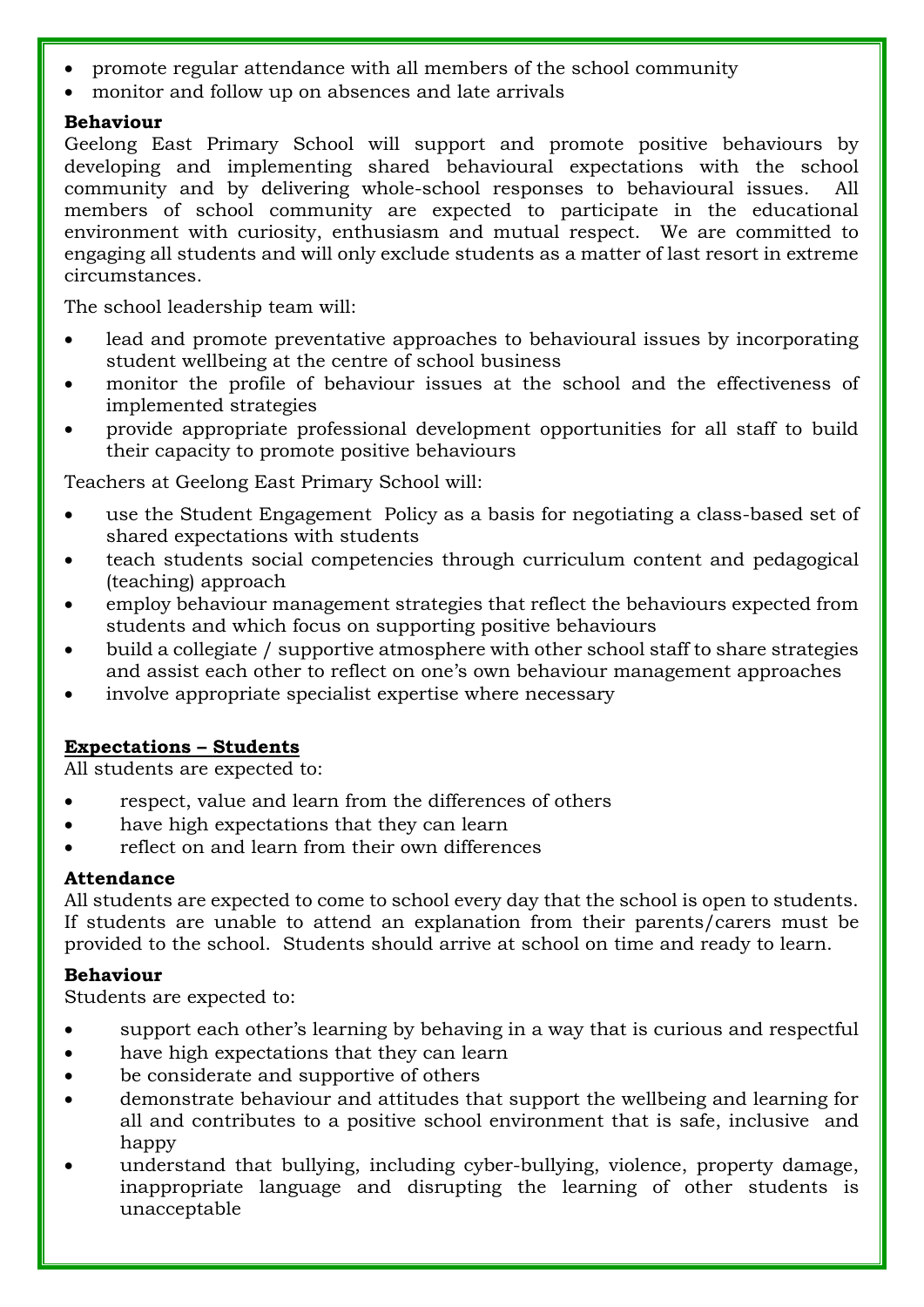- promote regular attendance with all members of the school community
- monitor and follow up on absences and late arrivals

#### **Behaviour**

Geelong East Primary School will support and promote positive behaviours by developing and implementing shared behavioural expectations with the school community and by delivering whole-school responses to behavioural issues. All members of school community are expected to participate in the educational environment with curiosity, enthusiasm and mutual respect. We are committed to engaging all students and will only exclude students as a matter of last resort in extreme circumstances.

The school leadership team will:

- lead and promote preventative approaches to behavioural issues by incorporating student wellbeing at the centre of school business
- monitor the profile of behaviour issues at the school and the effectiveness of implemented strategies
- provide appropriate professional development opportunities for all staff to build their capacity to promote positive behaviours

Teachers at Geelong East Primary School will:

- use the Student Engagement Policy as a basis for negotiating a class-based set of shared expectations with students
- teach students social competencies through curriculum content and pedagogical (teaching) approach
- employ behaviour management strategies that reflect the behaviours expected from students and which focus on supporting positive behaviours
- build a collegiate / supportive atmosphere with other school staff to share strategies and assist each other to reflect on one's own behaviour management approaches
- involve appropriate specialist expertise where necessary

### **Expectations – Students**

All students are expected to:

- respect, value and learn from the differences of others
- have high expectations that they can learn
- reflect on and learn from their own differences

### **Attendance**

All students are expected to come to school every day that the school is open to students. If students are unable to attend an explanation from their parents/carers must be provided to the school. Students should arrive at school on time and ready to learn.

### **Behaviour**

Students are expected to:

- support each other's learning by behaving in a way that is curious and respectful
- have high expectations that they can learn
- be considerate and supportive of others
- demonstrate behaviour and attitudes that support the wellbeing and learning for all and contributes to a positive school environment that is safe, inclusive and happy
- understand that bullying, including cyber-bullying, violence, property damage, inappropriate language and disrupting the learning of other students is unacceptable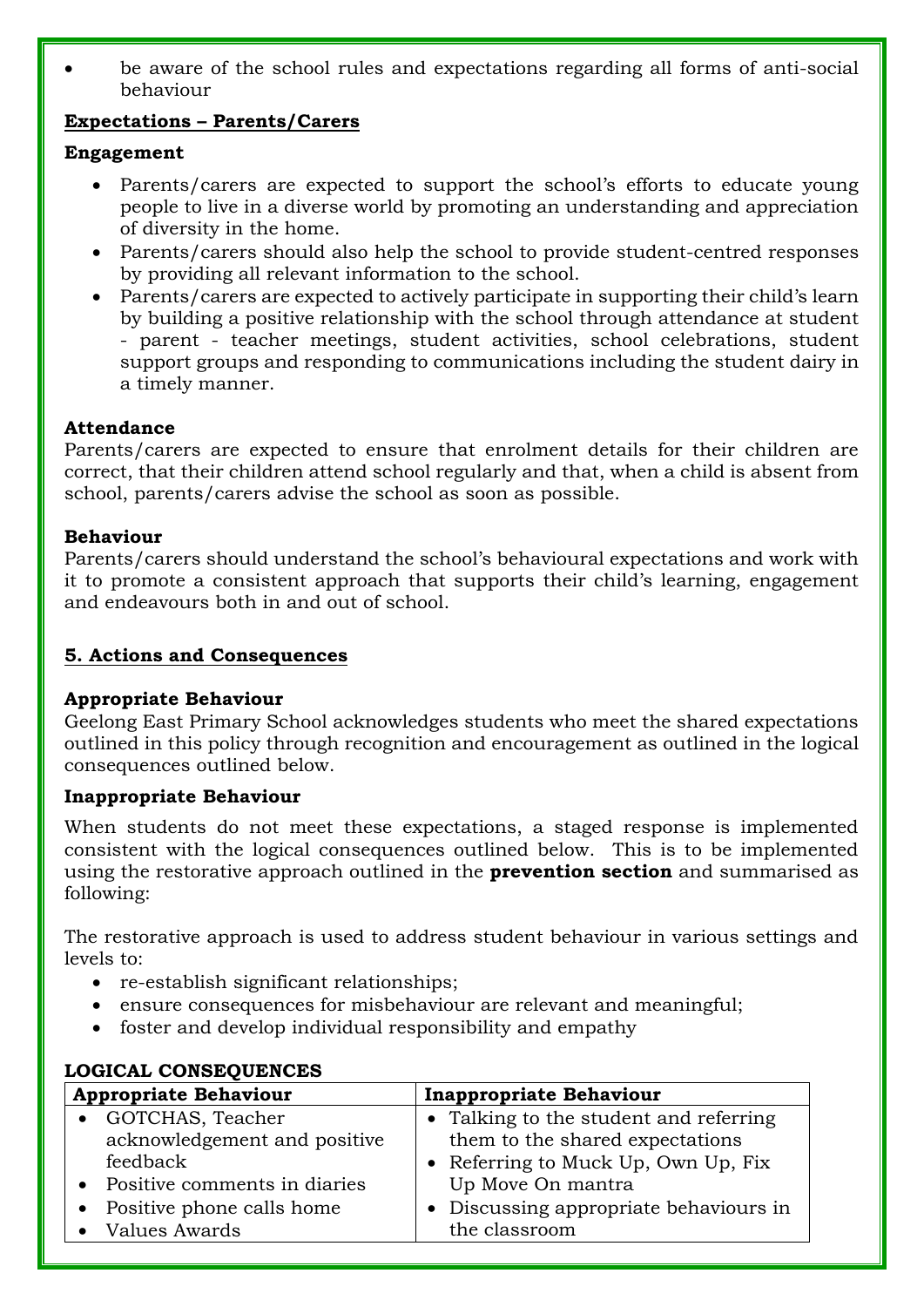be aware of the school rules and expectations regarding all forms of anti-social behaviour

### **Expectations – Parents/Carers**

#### **Engagement**

- Parents/carers are expected to support the school's efforts to educate young people to live in a diverse world by promoting an understanding and appreciation of diversity in the home.
- Parents/carers should also help the school to provide student-centred responses by providing all relevant information to the school.
- Parents/carers are expected to actively participate in supporting their child's learn by building a positive relationship with the school through attendance at student - parent - teacher meetings, student activities, school celebrations, student support groups and responding to communications including the student dairy in a timely manner.

### **Attendance**

Parents/carers are expected to ensure that enrolment details for their children are correct, that their children attend school regularly and that, when a child is absent from school, parents/carers advise the school as soon as possible.

#### **Behaviour**

Parents/carers should understand the school's behavioural expectations and work with it to promote a consistent approach that supports their child's learning, engagement and endeavours both in and out of school.

### **5. Actions and Consequences**

#### **Appropriate Behaviour**

Geelong East Primary School acknowledges students who meet the shared expectations outlined in this policy through recognition and encouragement as outlined in the logical consequences outlined below.

### **Inappropriate Behaviour**

When students do not meet these expectations, a staged response is implemented consistent with the logical consequences outlined below. This is to be implemented using the restorative approach outlined in the **prevention section** and summarised as following:

The restorative approach is used to address student behaviour in various settings and levels to:

- re-establish significant relationships;
- ensure consequences for misbehaviour are relevant and meaningful;
- foster and develop individual responsibility and empathy

|           | LOGICAL CONSEQUENCES           |                                        |  |  |  |  |
|-----------|--------------------------------|----------------------------------------|--|--|--|--|
|           | <b>Appropriate Behaviour</b>   | <b>Inappropriate Behaviour</b>         |  |  |  |  |
|           | • GOTCHAS, Teacher             | • Talking to the student and referring |  |  |  |  |
|           | acknowledgement and positive   | them to the shared expectations        |  |  |  |  |
|           | feedback                       | • Referring to Muck Up, Own Up, Fix    |  |  |  |  |
|           | • Positive comments in diaries | Up Move On mantra                      |  |  |  |  |
| $\bullet$ | Positive phone calls home      | • Discussing appropriate behaviours in |  |  |  |  |
|           | • Values Awards                | the classroom                          |  |  |  |  |

# **LOGICAL CONSEQUENCES**